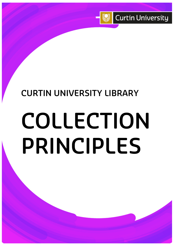

# **CURTIN UNIVERSITY LIBRARY**

# **COLLECTION PRINCIPLES**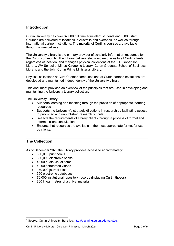#### **Introduction**

Curtin University has over 37,000 full time equivalent students and 3,000 staff.<sup>[1](#page-1-0)</sup> Courses are delivered at locations in Australia and overseas, as well as through international partner institutions. The majority of Curtin's courses are available through online delivery.

The University Library is the primary provider of scholarly information resources for the Curtin community. The Library delivers electronic resources to all Curtin clients regardless of location, and manages physical collections at the T.L. Robertson Library, WA School of Mines Kalgoorlie Library, Curtin Graduate School of Business Library, and the John Curtin Prime Ministerial Library.

Physical collections at Curtin's other campuses and at Curtin partner institutions are developed and maintained independently of the University Library.

This document provides an overview of the principles that are used in developing and maintaining the University Library collection.

The University Library:

- Supports learning and teaching through the provision of appropriate learning resources
- Supports the University's strategic directions in research by facilitating access to published and unpublished research outputs
- Reflects the requirements of Library clients through a process of formal and informal client consultation
- Ensures that resources are available in the most appropriate format for use by clients.

# **The Collection**

As of December 2020 the Library provides access to approximately:

- 360,000 print books
- 580,000 electronic books
- 4,000 audio-visual items
- 40,000 streamed videos
- 170,000 journal titles
- 550 electronic databases
- 70,000 institutional repository records (including Curtin theses)
- 800 linear metres of archival material

<span id="page-1-0"></span><sup>&</sup>lt;sup>1</sup> Source: Curtin University Statistics:<http://planning.curtin.edu.au/stats/>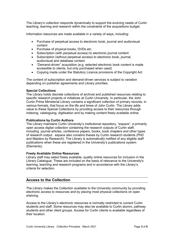The Library's collection responds dynamically to support the evolving needs of Curtin teaching, learning and research within the constraints of the acquisitions budget.

Information resources are made available in a variety of ways, including:

- Purchase of perpetual access to electronic book, journal and audiovisual content
- Purchase of physical books, DVDs etc.
- Subscription (with perpetual access) to electronic journal content
- Subscription (without perpetual access) to electronic book, journal, audiovisual and database content
- "Demand-driven" acquisition (e.g. selected electronic book content is made accessible to clients, but only purchased when used)
- Copying made under the Statutory Licence provisions of the Copyright Act

The content of subscription and demand-driven services is subject to variation depending on publisher agreements and Library priorities.

#### **Special Collections**

The Library holds discrete collections of archival and published resources relating to specific research projects or initiatives at Curtin University. In particular, the John Curtin Prime Ministerial Library contains a significant collection of primary records, in various formats, that focus on the life and times of John Curtin. The Library adds value to these Special Collections by providing access to their resources through indexing, cataloguing, digitisation and by making content freely available online.

#### **Publications by Curtin Authors**

The Library maintains Curtin University's institutional repository, "espace", a primarily open access digital collection containing the research outputs of Curtin staff, including journal articles, conference papers, books, book chapters and other types of research output. espace also conatins theses by Curtin research students (PhD and Masters by Research). The Library is automatically notified of any eligible staff publications when these are registered in the University's publications system (Elements).

#### **Freely Available Online Resources**

Library staff may select freely available, quality online resources for inclusion in the Library Catalogue. These are included on the basis of relevance to the University's learning, teaching and research programs and in accordance with the Library's criteria for selection.

# **Access to the Collection**

The Library makes the Collection available to the University community by providing electronic access to resources and by placing most physical collections on open shelving.

Access to the Library's electronic resources is normally restricted to current Curtin students and staff. Some resources may also be available to Curtin alumni, pathway students and other client groups. Access for Curtin clients is available regardless of their location.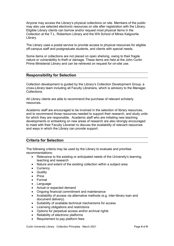Anyone may access the Library's physical collections on site. Members of the public may also use selected electronic resources on site after registration with the Library. Eligible Library clients can borrow and/or request most physical items in the Collection at the T.L. Robertson Library and the WA School of Mines Kalgoorlie Library.

The Library uses a postal service to provide access to physical resources for eligible off-campus staff and postgraduate students, and clients with special needs.

Some items or collections are not placed on open shelving, owing to their fragile nature or vulnerability to theft or damage. These items are held at the John Curtin Prime Ministerial Library and can be retrieved on request for on-site use.

# **Responsibility for Selection**

Collection development is guided by the Library's Collection Development Group, a cross-Library team including all Faculty Librarians, which is advisory to the Manager, Collections.

All Library clients are able to recommend the purchase of relevant scholarly resources.

Academic staff are encouraged to be involved in the selection of library resources, and to recommend those resources needed to support their research, and study units for which they are responsible. Academic staff who are initiating new teaching developments or embarking on new areas of research are also strongly encouraged to meet with their Faculty Librarian to discuss the availability of relevant resources and ways in which the Library can provide support.

# **Criteria for Selection**

The following criteria may be used by the Library to evaluate and prioritise recommendations:

- Relevance to the existing or anticipated needs of the University's learning, teaching and research
- Nature and extent of the existing collection within a subject area
- **Currency**
- Quality
- Price
- Format
- Language
- Actual or expected demand
- Ongoing financial commitment and maintenance
- Availability of access via alternative methods (e.g. inter-library loan and document delivery).
- Suitability of available technical mechanisms for access
- Licensing obligations and restrictions
- Options for perpetual access and/or archival rights
- Reliability of electronic platforms
- Requirement to pay platform fees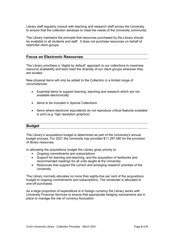Library staff regularly consult with teaching and research staff across the University to ensure that the collection develops to meet the needs of the University community.

The Library maintains the principle that resources purchased by the Library should be available to all students and staff. It does not purchase resources on behalf of restricted client groups.

#### **Focus on Electronic Resources**

The Library prioritises a "digital by default" approach to our collections to maximise resource availability and best meet the diversity of our client groups wherever they are located.

New physical items will only be added to the Collection in a limited range of circumstances:

- Essential items to support learning, teaching and research which are not available electronically
- Items to be included in Special Collections
- Items where electronic equivalents do not reproduce critical features available in print (e.g. high resolution graphics)

#### **Budget**

The Library's acquisitions budget is determined as part of the University's annual budget process. For 2021 the University has provided \$11,297,080 for the provision of library resources.

In allocating the acquisitions budget the Library gives priority to:

- Ongoing commitments and subscriptions
- Support for learning and teaching, and the acquisition of textbooks and recommended readings for all units taught at the University
- Resources that support the current and emerging research priorities of the University.

The Library normally allocates no more than eighty-five per cent of the acquisitions budget to ongoing commitments and subscriptions. The remainder is allocated to one-off purchases.

As a large proportion of expenditure is in foreign currency the Library works with University Financial Services to ensure that appropriate hedging mechanisms are in place to manage the risk of currency fluctuation.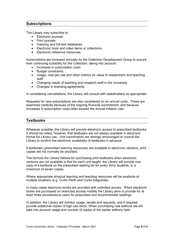# **Subscriptions**

The Library may subscribe to:

- Electronic journals
- Print journals
- Indexing and full-text databases
- Electronic book and video items or collections
- Electronic reference resources.

Subscriptions are reviewed annually by the Collection Development Group to ensure their continuing suitability for the Collection, taking into account:

- Increases in subscription costs
- Budget constraints
- Usage, cost per use and other metrics on value to researchers and teaching staff
- Changing needs of teaching and research staff in the University
- Changes in licensing agreements.

In considering cancellations, the Library will consult with stakeholders as appropriate.

Requests for new subscriptions are also considered on an annual cycle. These are examined carefully because of the ongoing financial commitment, and because increases in subscription costs often exceed the annual inflation rate.

#### **Textbooks**

Wherever possible, the Library will provide electronic access to prescribed textbooks. It should be noted, however, that textbooks are not always available in electronic format for Library use. Unit coordinators are strongly encouraged to consult the Library to confirm the electronic availability of textbooks in advance.

If textbooks (prescribed learning resources) are available in electronic versions, print copies will not normally be provided.

The formula the Library follows for purchasing print textbooks when electronic versions are not available is that for each unit taught, the Library will provide one copy of a textbook on the prescribed reading list for every thirty students, to a maximum of seven copies.

Where appropriate physical learning and teaching resources will be available at multiple locations (e.g. Curtin Perth and Curtin Kalgoorlie).

In many cases electronic books are provided with unlimited access. When electronic books are purchased on restricted access models the Library aims to provide for at least three simultaneous users for prescribed and recommended readings.

In addition, the Library will monitor usage, recalls and requests, and if required provide additional copies of high use items. When purchasing new editions we will take into account usage and number of copies of the earlier editions held.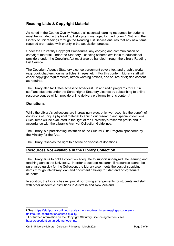# **Reading Lists & Copyright Material**

As noted in the Course Quality Manual, all essential learning resources for sudents must be included in the Reading List system managed by the Library.<sup>[2](#page-6-0)</sup> Notifying the Library of unit readings through the Reading List Service ensures that any new items required are treated with priority in the acquisition process.

Under the University Copyright Procedures, any copying and communication of copyright material under the Statutory Licensing scheme available to educational providers under the Copyright Act must also be handled through the Library Reading List Service.

The Copyright Agency Statutory Licence agreement covers text and graphic works (e.g. book chapters, journal articles, images, etc.). For this content, Library staff will check copyright requirements, attach warning notices, and source or digitise content as required.

The Library also facilitates access to broadcast TV and radio programs for Curtin staff and students under the Screenrights Statutory Licence by subscribing to online resource centres which provide online delivery platforms for this content.[3](#page-6-1)

# **Donations**

While the Library's collections are increasingly electronic, we recognise the benefit of donations of unique physical material to enrich our research and special collections. Such items will be evaluated in the light of the University's research profile and in accordance with the Library's Archival Collection Guidelines.

The Library is a participating institution of the Cultural Gifts Program sponsored by the Ministry for the Arts.

The Library reserves the right to decline or dispose of donations.

# **Resources Not Available in the Library Collection**

The Library aims to hold a collection adequate to support undergraduate learning and teaching across the University. In order to support research, if resources cannot be purchased quickly for the Collection, the Library also meets the cost of supplying items through interlibrary loan and document delivery for staff and postgraduate students.

In addition, the Library has reciprocal borrowing arrangements for students and staff with other academic institutions in Australia and New Zealand.

<span id="page-6-0"></span> <sup>2</sup> See: [https://staffportal.curtin.edu.au/learning-and-teaching/managing-a-course-or](https://staffportal.curtin.edu.au/learning-and-teaching/managing-a-course-or-unit/course-coordination/course-quality/)[unit/course-coordination/course-quality/](https://staffportal.curtin.edu.au/learning-and-teaching/managing-a-course-or-unit/course-coordination/course-quality/)

<span id="page-6-1"></span><sup>&</sup>lt;sup>3</sup> For further information on the Copyright Statutory Licence agreements see: <https://copyright.curtin.edu.au/teaching/>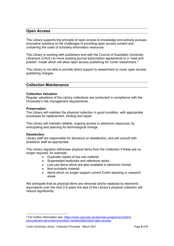# **Open Access**

The Library supports the principle of open access to knowledge and actively pursues innovative solutions to the challenges of providing open access content and containing the costs of scholarly information resources.

The Library is working with publishers and with the Council of Australian University Librarians (CAUL) to move existing journal subscription agreements to a "read and publish" model which will allow open access publishing for Curtin researchers.<sup>[4](#page-7-0)</sup>

The Library is not able to provide direct support to researchers to cover open access publishing charges.

# **Collection Maintenance**

#### **Collection Valuation**

Regular valuations of the Library collections are conducted in compliance with the University's risk management requirements.

#### **Preservation**

The Library will maintain the physical collection in good condition, with appropriate processes for replacement, binding and repair.

The Library will maintain reliable, ongoing access to electronic resources, by anticipating and planning for technological change.

#### **Deselection**

Library staff are responsible for decisions on deselection, and will consult with academic staff as appropriate.

The Library regularly withdraws physical items from the Collection if these are no longer required, for example:

- Duplicate copies of low use material
- Superseded textbooks and reference works
- Low use items which are also available in electronic format
- Non-scholarly material
- Items which no longer support current Curtin teaching or research areas

We anticipate that as physical items are removed and/or replaced by electronic equivalents over the next 2-5 years the size of the Library's physical collection will reduce significantly.

<span id="page-7-0"></span> <sup>4</sup> For further information see: [https://www.caul.edu.au/services-programs/content](https://www.caul.edu.au/services-programs/content-procurement-services/consortium-vendors/fast-track-open-access)[procurement-services/consortium-vendors/fast-track-open-access](https://www.caul.edu.au/services-programs/content-procurement-services/consortium-vendors/fast-track-open-access)